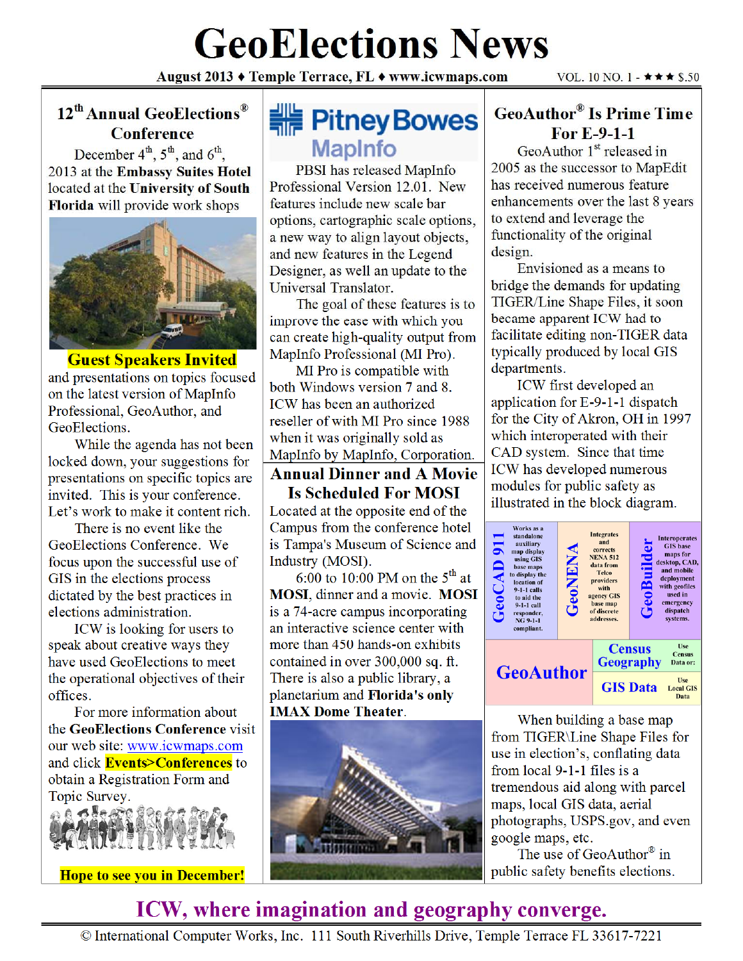# **GeoElections News**

August 2013 ♦ Temple Terrace, FL ♦ www.icwmaps.com

#### 12<sup>th</sup> Annual GeoElections<sup>®</sup> **Conference**

December  $4^{th}$ ,  $5^{th}$ , and  $6^{th}$ , 2013 at the Embassy Suites Hotel located at the University of South Florida will provide work shops



**Guest Speakers Invited** and presentations on topics focused on the latest version of MapInfo Professional, GeoAuthor, and GeoElections.

While the agenda has not been locked down, your suggestions for presentations on specific topics are invited. This is your conference. Let's work to make it content rich.

There is no event like the GeoElections Conference. We focus upon the successful use of GIS in the elections process dictated by the best practices in elections administration.

ICW is looking for users to speak about creative ways they have used GeoElections to meet the operational objectives of their offices.

For more information about the GeoElections Conference visit our web site: www.icwmaps.com and click **Events>Conferences** to obtain a Registration Form and Topic Survey.



**Hope to see you in December!** 

## **HE Pitney Bowes MapInfo**

PBSI has released MapInfo Professional Version 12.01. New features include new scale bar options, cartographic scale options, a new way to align layout objects, and new features in the Legend Designer, as well an update to the Universal Translator.

The goal of these features is to improve the ease with which you can create high-quality output from MapInfo Professional (MI Pro).

MI Pro is compatible with both Windows version 7 and 8. ICW has been an authorized reseller of with MI Pro since 1988 when it was originally sold as MapInfo by MapInfo, Corporation.

#### **Annual Dinner and A Movie Is Scheduled For MOSI**

Located at the opposite end of the Campus from the conference hotel is Tampa's Museum of Science and Industry (MOSI).

6:00 to 10:00 PM on the  $5^{\text{th}}$  at MOSI, dinner and a movie. MOSI is a 74-acre campus incorporating an interactive science center with more than 450 hands-on exhibits contained in over 300,000 sq. ft. There is also a public library, a planetarium and Florida's only **IMAX Dome Theater.** 



#### **GeoAuthor® Is Prime Time** For  $E-9-1-1$

GeoAuthor  $1<sup>st</sup>$  released in 2005 as the successor to MapEdit has received numerous feature enhancements over the last 8 years to extend and leverage the functionality of the original design.

Envisioned as a means to bridge the demands for updating TIGER/Line Shape Files, it soon became apparent ICW had to facilitate editing non-TIGER data typically produced by local GIS departments.

ICW first developed an application for E-9-1-1 dispatch for the City of Akron, OH in 1997 which interoperated with their CAD system. Since that time ICW has developed numerous modules for public safety as illustrated in the block diagram.



When building a base map from TIGER\Line Shape Files for use in election's, conflating data from local 9-1-1 files is a tremendous aid along with parcel maps, local GIS data, aerial photographs, USPS.gov, and even google maps, etc.

The use of GeoAuthor® in public safety benefits elections.

## ICW, where imagination and geography converge.

© International Computer Works, Inc. 111 South Riverhills Drive, Temple Terrace FL 33617-7221